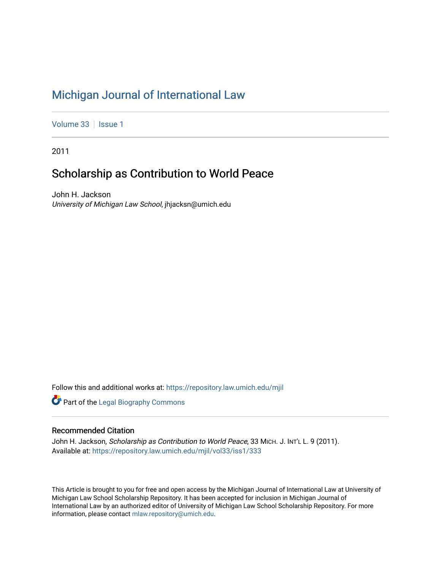# [Michigan Journal of International Law](https://repository.law.umich.edu/mjil)

[Volume 33](https://repository.law.umich.edu/mjil/vol33) | [Issue 1](https://repository.law.umich.edu/mjil/vol33/iss1)

2011

## Scholarship as Contribution to World Peace

John H. Jackson University of Michigan Law School, jhjacksn@umich.edu

Follow this and additional works at: [https://repository.law.umich.edu/mjil](https://repository.law.umich.edu/mjil?utm_source=repository.law.umich.edu%2Fmjil%2Fvol33%2Fiss1%2F333&utm_medium=PDF&utm_campaign=PDFCoverPages) 

**Part of the Legal Biography Commons** 

#### Recommended Citation

John H. Jackson, Scholarship as Contribution to World Peace, 33 MICH. J. INT'L L. 9 (2011). Available at: [https://repository.law.umich.edu/mjil/vol33/iss1/333](https://repository.law.umich.edu/mjil/vol33/iss1/333?utm_source=repository.law.umich.edu%2Fmjil%2Fvol33%2Fiss1%2F333&utm_medium=PDF&utm_campaign=PDFCoverPages) 

This Article is brought to you for free and open access by the Michigan Journal of International Law at University of Michigan Law School Scholarship Repository. It has been accepted for inclusion in Michigan Journal of International Law by an authorized editor of University of Michigan Law School Scholarship Repository. For more information, please contact [mlaw.repository@umich.edu](mailto:mlaw.repository@umich.edu).